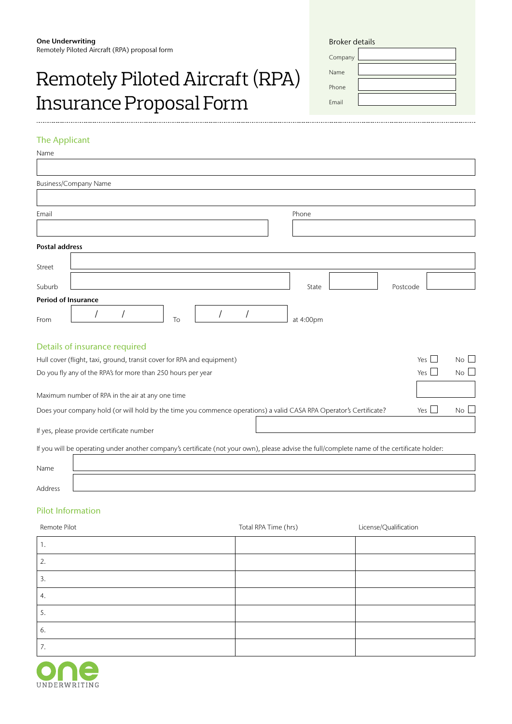# Remotely Piloted Aircraft (RPA) Insurance Proposal Form

| <b>Broker details</b> |  |  |  |  |
|-----------------------|--|--|--|--|
| Company               |  |  |  |  |
| Name                  |  |  |  |  |
| Phone                 |  |  |  |  |
| <b>Fmail</b>          |  |  |  |  |

. . . . . . . . . . . . . . . . . . . .

# The Applicant

| Name                       |                                                                                                                                              |                           |
|----------------------------|----------------------------------------------------------------------------------------------------------------------------------------------|---------------------------|
|                            |                                                                                                                                              |                           |
|                            | <b>Business/Company Name</b>                                                                                                                 |                           |
|                            |                                                                                                                                              |                           |
| Email                      | Phone                                                                                                                                        |                           |
|                            |                                                                                                                                              |                           |
| <b>Postal address</b>      |                                                                                                                                              |                           |
| Street                     |                                                                                                                                              |                           |
|                            |                                                                                                                                              |                           |
| Suburb                     | State                                                                                                                                        | Postcode                  |
| <b>Period of Insurance</b> |                                                                                                                                              |                           |
| From                       | To<br>at 4:00pm                                                                                                                              |                           |
|                            | Details of insurance required                                                                                                                |                           |
|                            | Hull cover (flight, taxi, ground, transit cover for RPA and equipment)                                                                       | Yes  <br>$No$ $\Box$      |
|                            | Do you fly any of the RPA's for more than 250 hours per year                                                                                 | Yes $\Box$<br>$No$ $\Box$ |
|                            | Maximum number of RPA in the air at any one time                                                                                             |                           |
|                            | Does your company hold (or will hold by the time you commence operations) a valid CASA RPA Operator's Certificate?                           | Yes I<br>No L             |
|                            | If yes, please provide certificate number                                                                                                    |                           |
|                            | If you will be operating under another company's certificate (not your own), please advise the full/complete name of the certificate holder: |                           |

| Name           |  |
|----------------|--|
| <b>Address</b> |  |

# Pilot Information

| Remote Pilot | Total RPA Time (hrs) | License/Qualification |
|--------------|----------------------|-----------------------|
| ι.           |                      |                       |
| 2.           |                      |                       |
| 3.           |                      |                       |
| 4.           |                      |                       |
| 5.           |                      |                       |
| 6.           |                      |                       |
| 7.           |                      |                       |

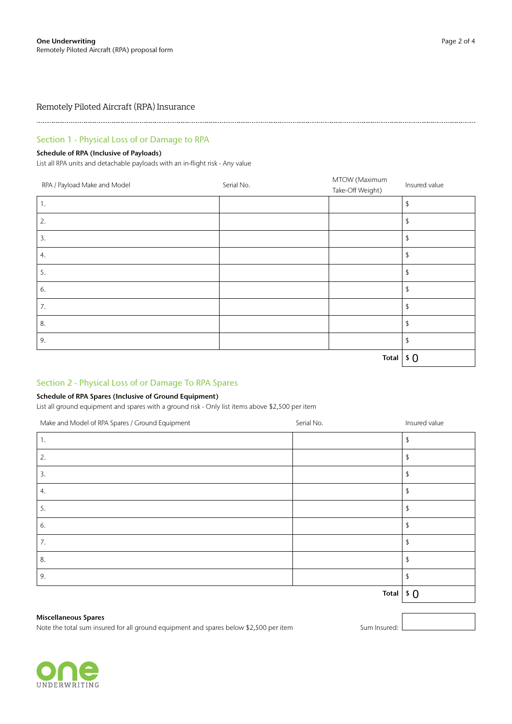Remotely Piloted Aircraft (RPA) Insurance

# Section 1 - Physical Loss of or Damage to RPA

# Schedule of RPA (Inclusive of Payloads)

List all RPA units and detachable payloads with an in-flight risk - Any value

| RPA / Payload Make and Model | Serial No. | MTOW (Maximum<br>Take-Off Weight) | Insured value |
|------------------------------|------------|-----------------------------------|---------------|
| 1.                           |            |                                   | \$            |
| 2.                           |            |                                   | \$            |
| 3.                           |            |                                   | \$            |
| 4.                           |            |                                   | £             |
| 5.                           |            |                                   | \$            |
| 6.                           |            |                                   | \$            |
| 7.                           |            |                                   | \$            |
| 8.                           |            |                                   | \$            |
| 9.                           |            |                                   | \$            |
|                              |            | <b>Total</b>                      | \$0           |

# Section 2 - Physical Loss of or Damage To RPA Spares

# Schedule of RPA Spares (Inclusive of Ground Equipment)

List all ground equipment and spares with a ground risk - Only list items above \$2,500 per item

| Make and Model of RPA Spares / Ground Equipment | Serial No.   | Insured value |
|-------------------------------------------------|--------------|---------------|
| 1.                                              |              |               |
| 2.                                              |              |               |
| 3.                                              |              |               |
| 4.                                              |              |               |
| 5.                                              |              |               |
| 6.                                              |              |               |
| 7.                                              |              |               |
| 8.                                              |              |               |
| 9.                                              |              |               |
|                                                 | <b>Total</b> | $\sqrt{5}$    |

#### Miscellaneous Spares

Note the total sum insured for all ground equipment and spares below \$2,500 per item Sum Sum Insured: I

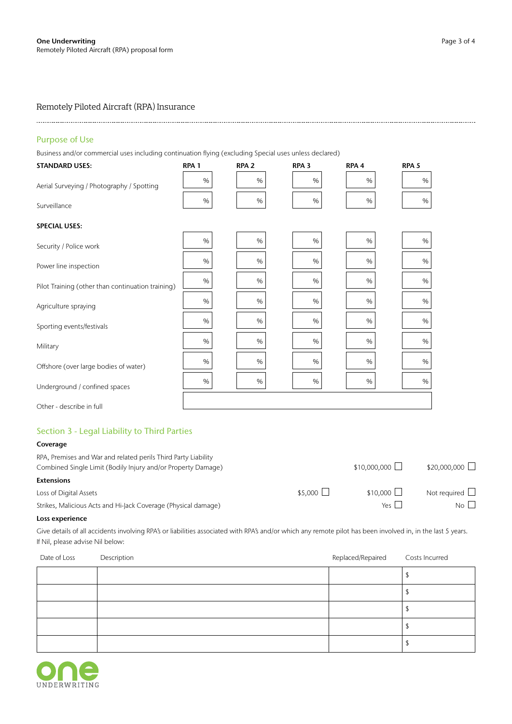# Remotely Piloted Aircraft (RPA) Insurance

## Purpose of Use

Business and/or commercial uses including continuation flying (excluding Special uses unless declared)

| <b>STANDARD USES:</b>                             | RPA <sub>1</sub> | RPA <sub>2</sub> | RPA <sub>3</sub> | RPA <sub>4</sub> | RPA <sub>5</sub> |
|---------------------------------------------------|------------------|------------------|------------------|------------------|------------------|
| Aerial Surveying / Photography / Spotting         | $\%$             | $\%$             | %                | %                | %                |
| Surveillance                                      | $\%$             | $\%$             | %                | %                | $\%$             |
| <b>SPECIAL USES:</b>                              |                  |                  |                  |                  |                  |
| Security / Police work                            | %                | %                | %                | %                | %                |
| Power line inspection                             | $\%$             | $\%$             | %                | %                | %                |
| Pilot Training (other than continuation training) | %                | $\%$             | %                | %                | %                |
| Agriculture spraying                              | %                | %                | %                | %                | %                |
| Sporting events/festivals                         | $\%$             | $\%$             | %                | %                | %                |
| Military                                          | %                | %                | %                | %                | %                |
| Offshore (over large bodies of water)             | %                | %                | %                | %                | %                |
|                                                   | %                | %                | $\%$             | %                | %                |
| Underground / confined spaces                     |                  |                  |                  |                  |                  |
| Other - describe in full                          |                  |                  |                  |                  |                  |

# Section 3 - Legal Liability to Third Parties

| Coverage                                                                                                                       |                 |                      |                      |
|--------------------------------------------------------------------------------------------------------------------------------|-----------------|----------------------|----------------------|
| RPA, Premises and War and related perils Third Party Liability<br>Combined Single Limit (Bodily Injury and/or Property Damage) |                 | $$10,000,000$ $\Box$ | $$20,000,000$ $\Box$ |
| <b>Extensions</b>                                                                                                              |                 |                      |                      |
| Loss of Digital Assets                                                                                                         | $$5,000$ $\Box$ | \$10,000 $\Box$      | Not required $\Box$  |
| Strikes, Malicious Acts and Hi-Jack Coverage (Physical damage)                                                                 |                 | Yes $\Box$           | $No$ $\Box$          |

### Loss experience

Give details of all accidents involving RPA's or liabilities associated with RPA's and/or which any remote pilot has been involved in, in the last 5 years. If Nil, please advise Nil below:

| Date of Loss | Description | Replaced/Repaired | Costs Incurred |
|--------------|-------------|-------------------|----------------|
|              |             |                   |                |
|              |             |                   |                |
|              |             |                   |                |
|              |             |                   |                |
|              |             |                   |                |